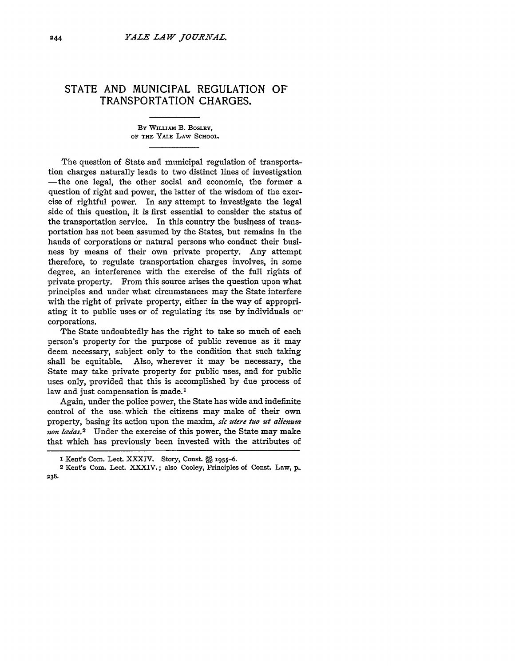## **STATE AND MUNICIPAL REGULATION** OF TRANSPORTATION **CHARGES.**

**By** WiLuAm B. Bosizy, **OF THE** YALE LAW ScHooL.

The question of State and municipal regulation of transportation charges naturally leads to two distinct lines of investigation -the one legal, the other social and economic, the former a question of right and power, the latter of the wisdom of the exercise of rightful power. In any attempt to investigate the legal side of this question, it is first essential to consider the status of the transportation service. In this country the business of transportation has not been assumed by the States, but remains in the hands of corporations or natural persons who conduct their business by means of their own private property. Any attempt therefore, to regulate transportation charges involves, in some degree, an interference with the exercise of the full rights of private property. From this source arises the question upon what principles and under what circumstances may the State interfere with the right of private property, either in the way of appropriating it to public uses or of regulating its use by individuals or corporations.

The State undoubtedly has the right to take so much of each person's property for the purpose of public revenue as it may deem necessary, subject only to the condition that such taking shall be equitable. Also, wherever it may be necessary, the State may take private property for public uses, and for public uses only, provided that this is accomplished by due process of law and just compensation is made.<sup>1</sup>

Again, under the police power, the State has wide and indefinite control of the use. which the citizens may make of their own property, basing its action upon the maxim, *sic utere tuo ut alienum non iedas.2* Under the exercise of this power, the State may make that which has previously been invested with the attributes of

**<sup>1</sup>** Kent's Com. Lect. XXXIV. Story, Const. **§§** 1955-6.

<sup>2</sup> Kent!s Com. Lect. XXXIV.; also Cooley, Principles of Const. Law, **p.**238.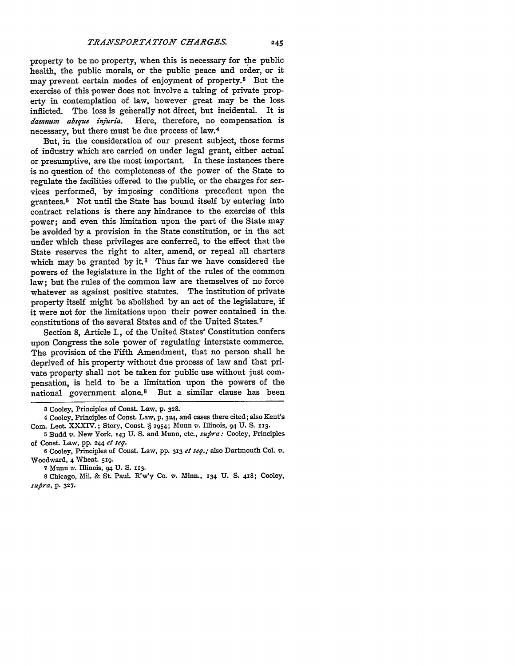property to be no property, when this is necessary for the public health, the public morals, or the public peace and order, or it may prevent certain modes of enjoyment of property.3 But the exercise of this power does not involve a taking of private property in contemplation of law, however great may be the loss inflicted. The loss is geierally not direct, but incidental. It is *damnum absgue injuria.* Here, therefore, no compensation is necessary, but there must be due process of law. <sup>4</sup>

But, in the consideration of our present subject, those forms of industry which are carried on under legal grant, either actual or presumptive, are the most important. In these instances there is no question of the completeness of the power of the State to regulate the facilities offered to the public, or the charges for services performed, **by** imposing conditions precedent upon the grantees. 5 Not until the State has bound itself by entering into contract relations is there any hindrance to the exercise of this power; and even this limitation upon the part of the State may be avoided **by** a provision in the State constitution, or in the act under which these privileges are conferred, to the effect that the State reserves the right to alter, amend, or repeal all charters which may be granted by it.<sup>6</sup> Thus far we have considered the powers of the legislature in the light of the rules of the common law; but the rules of the common law are themselves of no force whatever as against positive statutes. The institution of private property itself might be abolished **by** an act of the legislature, if it were not for the limitations upon their power contained in the. constitutions of the several States and of the United States. <sup>7</sup>

Section 8, Article I., of the United States' Constitution confers upon Congress the sole power of regulating interstate commerce. The provision of the Fifth Amendment, that no person shall be deprived of his property without due process of law and that private property shall not be taken for public use without just compensation, is held to be a limitation upon the powers of the national government alone.<sup>8</sup> But a similar clause has been

**<sup>3</sup>** Cooley, Principles of Const. Law, p. **328.**

**<sup>4</sup>** Cooley, Principles of Const. Law, p. 324, and cases there cited; also Kent's **Com.** Lect. XXXIV.; Story, Const. **9 i954;** Munn *v.* Illinois, **94 U. S. 113.**

**<sup>5</sup>** Budd v. New York. **143 U. S.** and Munn, etc., *supra:* Cooley, Principles of Const. Law, **pp.** 244 *el seq.*

**<sup>8</sup>** Cooley, Principles of Const. Law, pp. **313** *et seq.;* also Dartmouth Col. v. Woodward, 4 Wheat. **519.**

**<sup>7</sup>** Munn **v.** Illinois, **94 U. S. 113.**

**<sup>8</sup>** Chicago, Mil. **& St.** Paul. *R'w'y* Co. v. Minn., **134 U. S.** 418; Cooley, *sulbra,* **p. 327.**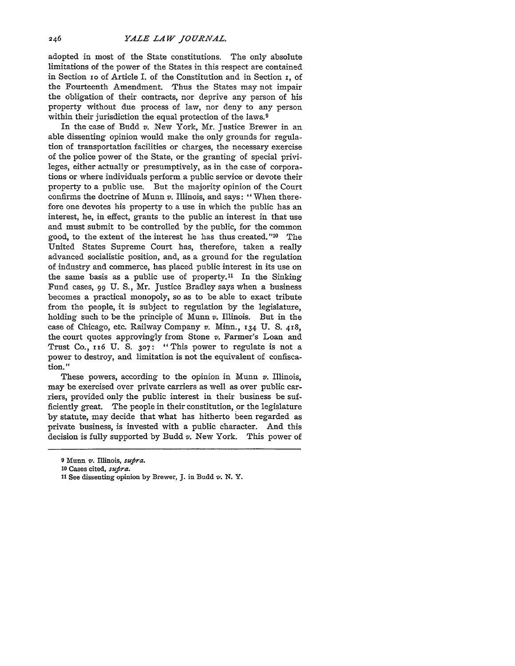adopted in most of the State constitutions. The only absolute limitations of the power of the States in this respect are contained in Section io of Article I. of the Constitution and in Section **1,** of the Fourteenth Amendment. Thus the States may not impair the obligation of their contracts, nor deprive any person of his property without due process of law, nor deny to any person within their jurisdiction the equal protection of the laws. <sup>9</sup>

In the case of Budd v. New York, Mr. Justice Brewer in an able dissenting opinion would make the only grounds for regulation of transportation facilities or charges, the necessary exercise of the police power of the State, or the granting of special privileges, either actually or presumptively, as in the case of corporations or where individuals perform a public service or devote their property to a public use. But the majority opinion of the Court confirms the doctrine of Munn *v.* Illinois, and says: "When therefore one devotes his property to a use in which the public has an interest, he, in effect, grants to the public an interest in that use and must submit to be controlled **by** the public, for the common good, to the extent of the interest he has thus created."<sup>10</sup> The United States Supreme Court has, therefore, taken a really advanced socialistic position, and, as a ground for the regulation of industry and commerce, has placed public interest in its use on the same basis as a public use of property.<sup>11</sup> In the Sinking Fund cases, **99** U. S., Mr. Justice Bradley says when a business becomes a practical monopoly, so as to be able to exact tribute from the people, it is subject to regulation by the legislature, holding such to be the principle of Munn *v.* Illinois. But in the case of Chicago, etc. Railway Company *v.* Minn., **134** U. **S.** 418, the court quotes approvingly from Stone  $v$ . Farmer's Loan and Trust Co., 16 U. **S. 307:** "This power to regulate is not a power to destroy, and limitation is not the equivalent of confiscation."

These powers, according to the opinion in Munn  $v$ . Illinois, may be exercised over private carriers as well as over public carriers, provided only the public interest in their business be sufficiently great. The people in their constitution, or the legislature by statute, may decide that what has hitherto been regarded as private business, is invested with a public character. And this decision is fully supported by Budd  $v$ . New York. This power of

**<sup>9</sup>** Munn v. Illinois, *sufira.*

**<sup>10</sup>**Cases cited, *sufra.*

**<sup>11</sup>** See dissenting opinion **by** Brewer, J. in Budd *v.* **N.** Y.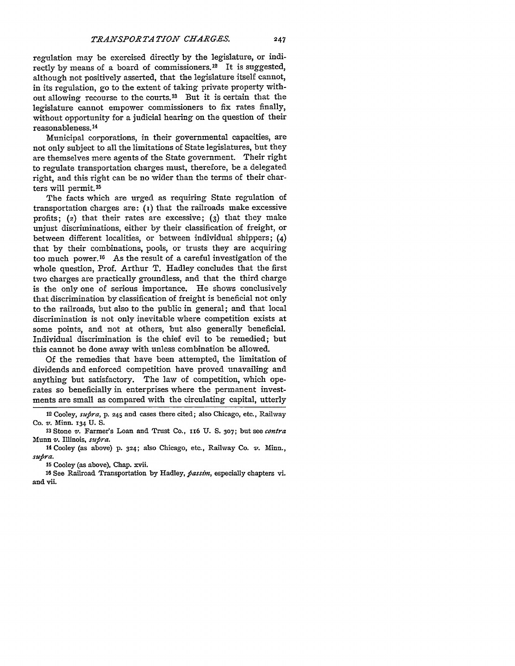regulation may be exercised directly by the legislature, or indirectly by means of a board of commissioners.<sup>12</sup> It is suggested, although not positively asserted, that the legislature itself cannot, in its regulation, go to the extent of taking private property without allowing recourse to the courts.13 But it is certain that the legislature cannot empower commissioners to fix rates finally, without opportunity for a judicial hearing on the question of their reasonableness. <sup>14</sup>

Municipal corporations, in their governmental capacities, are not only subject to all the limitations of State legislatures, but they are themselves mere agents of the State government. Their right to regulate transportation charges must, therefore, be a delegated right, and this right can be no wider than the terms of their charters will permit.<sup>15</sup>

The facts which are urged as requiring State regulation of transportation charges are: **(i)** that the railroads make excessive profits; (2) that their rates are excessive; **(3)** that they make unjust discriminations, either by their classification of freight, or between different localities, or between individual shippers; (4) that by their combinations, pools, or trusts they are acquiring too much power.<sup>16</sup> As the result of a careful investigation of the whole question, Prof. Arthur T. Hadley concludes that the first two charges are practically groundless, and that the third charge is the only one of serious importance. He shows conclusively that discrimination by classification of freight is beneficial not only to the railroads, but also to the public in general; and that local discrimination is not only inevitable where competition exists at some points, and not at others, but also generally beneficial. Individual discrimination is the chief evil to be remedied; but this cannot be done away with unless combination be allowed.

Of the remedies that have been attempted, the limitation of dividends and enforced competition have proved unavailing and anything but satisfactory. The law of competition, which operates so beneficially in enterprises where the permanent investments are small as compared with the circulating capital, utterly

<sup>12</sup> Cooley, supra, p. 245 and cases there cited; also Chicago, etc., Railway Co. v. Minn. **I34 U. S.**

**<sup>13</sup>**Stone v. Farmer's Loan and Trust Co., **ii6** U. **S. 307;** but see *contra* Munn v. Illinois, *sujpra.*

**<sup>14</sup>**Cooley (as above) p. 324; also Chicago, etc., Railway Co. v. Minn., *sura.*

**<sup>15</sup>**Cooley (as above), Chap. xvii.

<sup>16</sup> See Railroad Transportation by Hadley, *passim*, especially chapters vi. and vii.